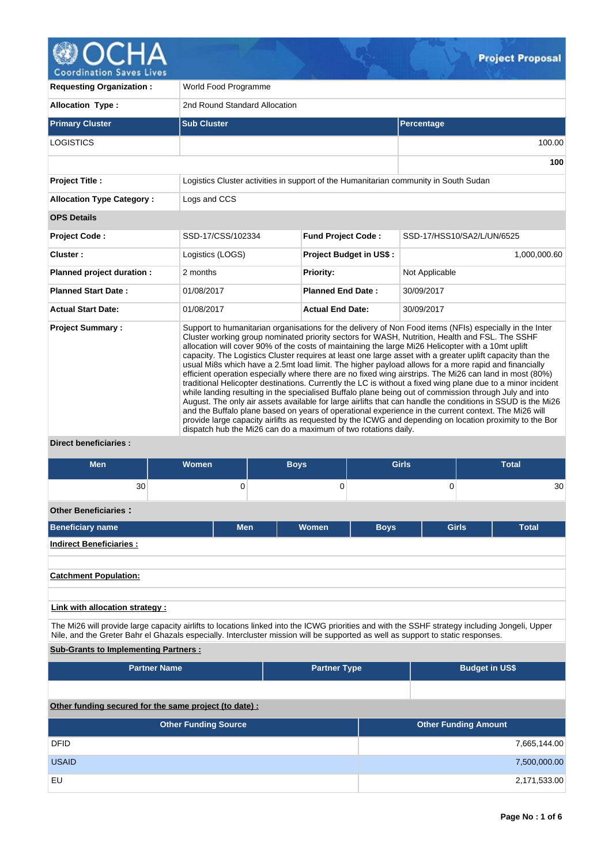

**100**

**Requesting Organization :** World Food Programme **Allocation Type :** 2nd Round Standard Allocation **Primary Cluster Sub Cluster Sub Cluster** Sub Cluster Sub Cluster Sub Cluster Sub Cluster Sub Cluster Sub Cluster  $\sf LOGISTICS$  and the contract of the contract of the contract of the contract of the contract of the contract of the contract of the contract of the contract of the contract of the contract of the contract of the contract of t **Project Title :** Logistics Cluster activities in support of the Humanitarian community in South Sudan **Allocation Type Category :** Logs and CCS **OPS Details Project Code :** SSD-17/CSS/102334 **Fund Project Code :** SSD-17/HSS10/SA2/L/UN/6525 **Cluster :** 2,000,000.60 **Logistics (LOGS) Project Budget in US\$ :** 1,000,000.60 **1**,000,000.60 **Planned project duration :** 2 months **Priority:** Not Applicable **Planned Start Date :** 01/08/2017 **Planned End Date :** 30/09/2017 **Actual Start Date:** 01/08/2017 **Actual End Date:** 30/09/2017 **Project Summary :** Support to humanitarian organisations for the delivery of Non Food items (NFIs) especially in the Inter Cluster working group nominated priority sectors for WASH, Nutrition, Health and FSL. The SSHF allocation will cover 90% of the costs of maintaining the large Mi26 Helicopter with a 10mt uplift capacity. The Logistics Cluster requires at least one large asset with a greater uplift capacity than the usual Mi8s which have a 2.5mt load limit. The higher payload allows for a more rapid and financially efficient operation especially where there are no fixed wing airstrips. The Mi26 can land in most (80%) traditional Helicopter destinations. Currently the LC is without a fixed wing plane due to a minor incident while landing resulting in the specialised Buffalo plane being out of commission through July and into August. The only air assets available for large airlifts that can handle the conditions in SSUD is the Mi26 and the Buffalo plane based on years of operational experience in the current context. The Mi26 will provide large capacity airlifts as requested by the ICWG and depending on location proximity to the Bor dispatch hub the Mi26 can do a maximum of two rotations daily.

**Direct beneficiaries :**

| Men                             | <b>Women</b> | <b>Boys</b> | <b>Girls</b>   | <b>Total</b>                 |
|---------------------------------|--------------|-------------|----------------|------------------------------|
| 30                              | 0            | 0           | $\overline{0}$ | 30                           |
| <b>Other Beneficiaries:</b>     |              |             |                |                              |
| <b>Beneficiary name</b>         | <b>Men</b>   | Women       | <b>Boys</b>    | <b>Girls</b><br><b>Total</b> |
| <b>Indirect Beneficiaries:</b>  |              |             |                |                              |
| <b>Catchment Population:</b>    |              |             |                |                              |
|                                 |              |             |                |                              |
| Link with allocation strategy : |              |             |                |                              |

The Mi26 will provide large capacity airlifts to locations linked into the ICWG priorities and with the SSHF strategy including Jongeli, Upper Nile, and the Greter Bahr el Ghazals especially. Intercluster mission will be supported as well as support to static responses.

# **Sub-Grants to Implementing Partners :**

| <b>Partner Name</b> | <b>Partner Type</b> | <b>Budget in US\$</b> |
|---------------------|---------------------|-----------------------|
|                     |                     |                       |

# **Other funding secured for the same project (to date) :**

| <b>Other Funding Source</b> | <b>Other Funding Amount</b> |
|-----------------------------|-----------------------------|
| <b>DFID</b>                 | 7,665,144.00                |
| <b>USAID</b>                | 7,500,000.00                |
| EU                          | 2,171,533.00                |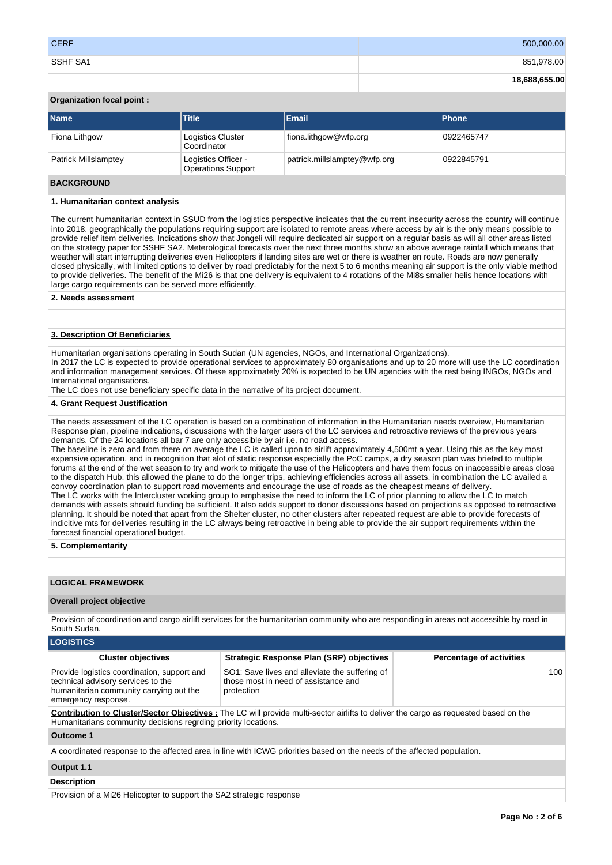| <b>CERF</b> | 500,000.00    |
|-------------|---------------|
| SSHF SA1    | 851,978.00    |
|             | 18,688,655.00 |

# **Organization focal point :**

| <b>Name</b>          | <b>Title</b>                                     | <b>Email</b>                 | <b>Phone</b> |
|----------------------|--------------------------------------------------|------------------------------|--------------|
| Fiona Lithgow        | <b>Logistics Cluster</b><br>Coordinator          | fiona.lithgow@wfp.org        | 0922465747   |
| Patrick Millslamptey | Logistics Officer -<br><b>Operations Support</b> | patrick.millslamptey@wfp.org | 0922845791   |

# **BACKGROUND**

# **1. Humanitarian context analysis**

The current humanitarian context in SSUD from the logistics perspective indicates that the current insecurity across the country will continue into 2018. geographically the populations requiring support are isolated to remote areas where access by air is the only means possible to provide relief item deliveries. Indications show that Jongeli will require dedicated air support on a regular basis as will all other areas listed on the strategy paper for SSHF SA2. Meterological forecasts over the next three months show an above average rainfall which means that weather will start interrupting deliveries even Helicopters if landing sites are wet or there is weather en route. Roads are now generally closed physically, with limited options to deliver by road predictably for the next 5 to 6 months meaning air support is the only viable method to provide deliveries. The benefit of the Mi26 is that one delivery is equivalent to 4 rotations of the Mi8s smaller helis hence locations with large cargo requirements can be served more efficiently.

**2. Needs assessment**

#### **3. Description Of Beneficiaries**

Humanitarian organisations operating in South Sudan (UN agencies, NGOs, and International Organizations). In 2017 the LC is expected to provide operational services to approximately 80 organisations and up to 20 more will use the LC coordination and information management services. Of these approximately 20% is expected to be UN agencies with the rest being INGOs, NGOs and International organisations.

The LC does not use beneficiary specific data in the narrative of its project document.

#### **4. Grant Request Justification**

The needs assessment of the LC operation is based on a combination of information in the Humanitarian needs overview, Humanitarian Response plan, pipeline indications, discussions with the larger users of the LC services and retroactive reviews of the previous years demands. Of the 24 locations all bar 7 are only accessible by air i.e. no road access.

The baseline is zero and from there on average the LC is called upon to airlift approximately 4,500mt a year. Using this as the key most expensive operation, and in recognition that alot of static response especially the PoC camps, a dry season plan was briefed to multiple forums at the end of the wet season to try and work to mitigate the use of the Helicopters and have them focus on inaccessible areas close to the dispatch Hub. this allowed the plane to do the longer trips, achieving efficiencies across all assets. in combination the LC availed a convoy coordination plan to support road movements and encourage the use of roads as the cheapest means of delivery. The LC works with the Intercluster working group to emphasise the need to inform the LC of prior planning to allow the LC to match demands with assets should funding be sufficient. It also adds support to donor discussions based on projections as opposed to retroactive planning. It should be noted that apart from the Shelter cluster, no other clusters after repeated request are able to provide forecasts of

indicitive mts for deliveries resulting in the LC always being retroactive in being able to provide the air support requirements within the forecast financial operational budget.

# **5. Complementarity**

# **LOGICAL FRAMEWORK**

#### **Overall project objective**

Provision of coordination and cargo airlift services for the humanitarian community who are responding in areas not accessible by road in South Sudan.

| <b>LOGISTICS</b>                                                                                                                                    |                                                                                                                                            |                                 |
|-----------------------------------------------------------------------------------------------------------------------------------------------------|--------------------------------------------------------------------------------------------------------------------------------------------|---------------------------------|
| <b>Cluster objectives</b>                                                                                                                           | <b>Strategic Response Plan (SRP) objectives</b>                                                                                            | <b>Percentage of activities</b> |
| Provide logistics coordination, support and<br>technical advisory services to the<br>humanitarian community carrying out the<br>emergency response. | SO1: Save lives and alleviate the suffering of<br>those most in need of assistance and<br>protection                                       | 100                             |
| Humanitarians community decisions regrding priority locations.                                                                                      | <b>Contribution to Cluster/Sector Objectives:</b> The LC will provide multi-sector airlifts to deliver the cargo as requested based on the |                                 |
| Outcome 1                                                                                                                                           |                                                                                                                                            |                                 |
|                                                                                                                                                     | A coordinated response to the affected area in line with ICWG priorities based on the needs of the affected population.                    |                                 |
| Output 1.1                                                                                                                                          |                                                                                                                                            |                                 |
| <b>Description</b>                                                                                                                                  |                                                                                                                                            |                                 |
|                                                                                                                                                     |                                                                                                                                            |                                 |

Provision of a Mi26 Helicopter to support the SA2 strategic response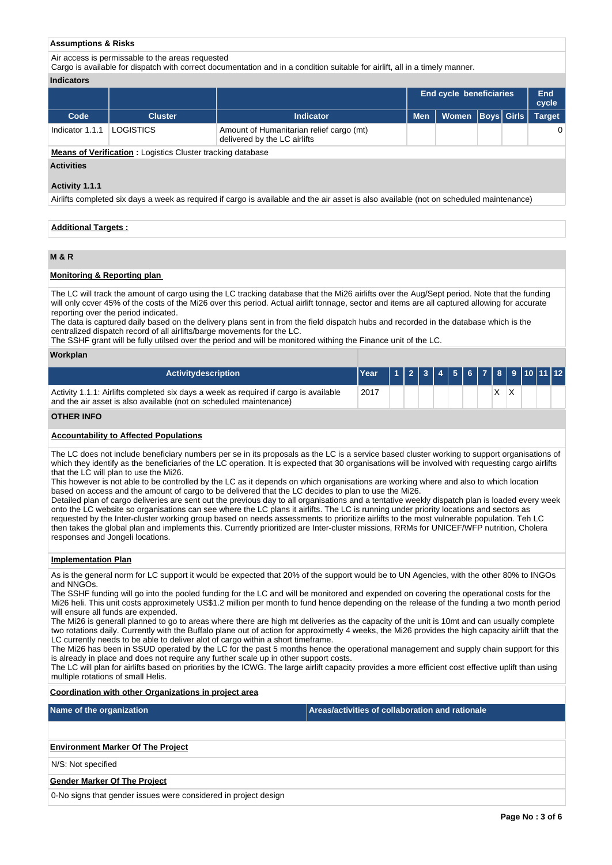#### **Assumptions & Risks**

Air access is permissable to the areas requested

Cargo is available for dispatch with correct documentation and in a condition suitable for airlift, all in a timely manner.

#### **Indicators**

|                 |                  |                                                                          |            | End cycle beneficiaries       |  | End<br>cycle |
|-----------------|------------------|--------------------------------------------------------------------------|------------|-------------------------------|--|--------------|
| Code            | <b>Cluster</b>   | <b>Indicator</b>                                                         | <b>Men</b> | Women   Boys   Girls   Target |  |              |
| Indicator 1.1.1 | <b>LOGISTICS</b> | Amount of Humanitarian relief cargo (mt)<br>delivered by the LC airlifts |            |                               |  |              |

**Means of Verification :** Logistics Cluster tracking database

# **Activities**

#### **Activity 1.1.1**

Airlifts completed six days a week as required if cargo is available and the air asset is also available (not on scheduled maintenance)

#### **Additional Targets :**

# **M & R**

# **Monitoring & Reporting plan**

The LC will track the amount of cargo using the LC tracking database that the Mi26 airlifts over the Aug/Sept period. Note that the funding will only ccver 45% of the costs of the Mi26 over this period. Actual airlift tonnage, sector and items are all captured allowing for accurate reporting over the period indicated.

The data is captured daily based on the delivery plans sent in from the field dispatch hubs and recorded in the database which is the centralized dispatch record of all airlifts/barge movements for the LC.

The SSHF grant will be fully utilsed over the period and will be monitored withing the Finance unit of the LC.

#### **Workplan**

| <b>Activity description</b>                                                                                                                                | TYear |  | 1 2 3 4 5 6 7 8 9 10 11 12 |  |  |  |  |  |
|------------------------------------------------------------------------------------------------------------------------------------------------------------|-------|--|----------------------------|--|--|--|--|--|
| Activity 1.1.1: Airlifts completed six days a week as required if cargo is available<br>and the air asset is also available (not on scheduled maintenance) | 2017  |  |                            |  |  |  |  |  |

#### **OTHER INFO**

#### **Accountability to Affected Populations**

The LC does not include beneficiary numbers per se in its proposals as the LC is a service based cluster working to support organisations of which they identify as the beneficiaries of the LC operation. It is expected that 30 organisations will be involved with requesting cargo airlifts that the LC will plan to use the Mi26.

This however is not able to be controlled by the LC as it depends on which organisations are working where and also to which location based on access and the amount of cargo to be delivered that the LC decides to plan to use the Mi26.

Detailed plan of cargo deliveries are sent out the previous day to all organisations and a tentative weekly dispatch plan is loaded every week onto the LC website so organisations can see where the LC plans it airlifts. The LC is running under priority locations and sectors as requested by the Inter-cluster working group based on needs assessments to prioritize airlifts to the most vulnerable population. Teh LC then takes the global plan and implements this. Currently prioritized are Inter-cluster missions, RRMs for UNICEF/WFP nutrition, Cholera responses and Jongeli locations.

#### **Implementation Plan**

As is the general norm for LC support it would be expected that 20% of the support would be to UN Agencies, with the other 80% to INGOs and NNGOs.

The SSHF funding will go into the pooled funding for the LC and will be monitored and expended on covering the operational costs for the Mi26 heli. This unit costs approximetely US\$1.2 million per month to fund hence depending on the release of the funding a two month period will ensure all funds are expended.

The Mi26 is generall planned to go to areas where there are high mt deliveries as the capacity of the unit is 10mt and can usually complete two rotations daily. Currently with the Buffalo plane out of action for approximetly 4 weeks, the Mi26 provides the high capacity airlift that the LC currently needs to be able to deliver alot of cargo within a short timeframe.

The Mi26 has been in SSUD operated by the LC for the past 5 months hence the operational management and supply chain support for this is already in place and does not require any further scale up in other support costs.

The LC will plan for airlifts based on priorities by the ICWG. The large airlift capacity provides a more efficient cost effective uplift than using multiple rotations of small Helis.

#### **Coordination with other Organizations in project area**

**Name of the organization Areas/activities of collaboration and rationale** 

#### **Environment Marker Of The Project**

N/S: Not specified

#### **Gender Marker Of The Project**

0-No signs that gender issues were considered in project design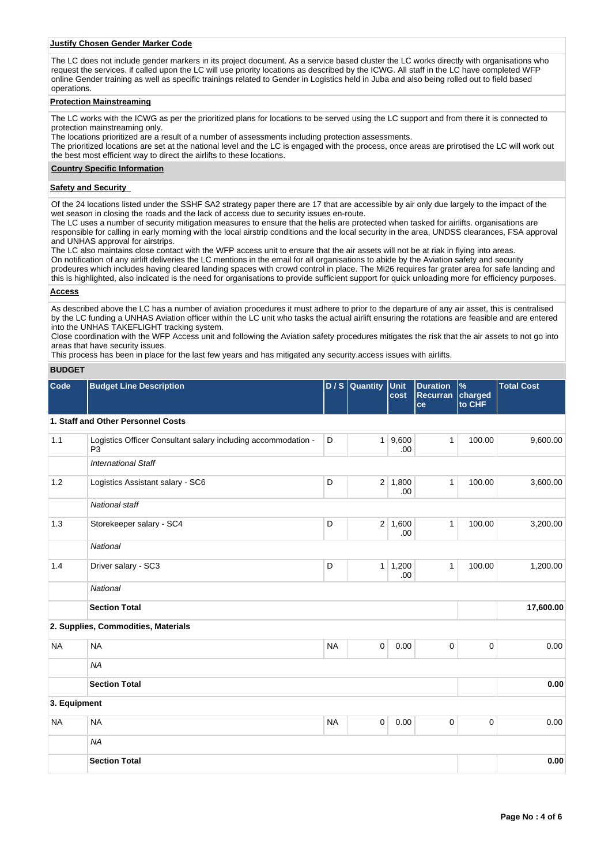#### **Justify Chosen Gender Marker Code**

The LC does not include gender markers in its project document. As a service based cluster the LC works directly with organisations who request the services. if called upon the LC will use priority locations as described by the ICWG. All staff in the LC have completed WFP online Gender training as well as specific trainings related to Gender in Logistics held in Juba and also being rolled out to field based operations.

#### **Protection Mainstreaming**

The LC works with the ICWG as per the prioritized plans for locations to be served using the LC support and from there it is connected to protection mainstreaming only.

The locations prioritized are a result of a number of assessments including protection assessments.

The prioritized locations are set at the national level and the LC is engaged with the process, once areas are prirotised the LC will work out the best most efficient way to direct the airlifts to these locations.

### **Country Specific Information**

#### **Safety and Security**

Of the 24 locations listed under the SSHF SA2 strategy paper there are 17 that are accessible by air only due largely to the impact of the wet season in closing the roads and the lack of access due to security issues en-route.

The LC uses a number of security mitigation measures to ensure that the helis are protected when tasked for airlifts. organisations are responsible for calling in early morning with the local airstrip conditions and the local security in the area, UNDSS clearances, FSA approval and UNHAS approval for airstrips.

The LC also maintains close contact with the WFP access unit to ensure that the air assets will not be at riak in flying into areas. On notification of any airlift deliveries the LC mentions in the email for all organisations to abide by the Aviation safety and security prodeures which includes having cleared landing spaces with crowd control in place. The Mi26 requires far grater area for safe landing and this is highlighted, also indicated is the need for organisations to provide sufficient support for quick unloading more for efficiency purposes.

#### **Access**

As described above the LC has a number of aviation procedures it must adhere to prior to the departure of any air asset, this is centralised by the LC funding a UNHAS Aviation officer within the LC unit who tasks the actual airlift ensuring the rotations are feasible and are entered into the UNHAS TAKEFLIGHT tracking system.

Close coordination with the WFP Access unit and following the Aviation safety procedures mitigates the risk that the air assets to not go into areas that have security issues.

This process has been in place for the last few years and has mitigated any security.access issues with airlifts.

### **BUDGET**

| Code         | <b>Budget Line Description</b>                                                  |           | $D/S$ Quantity | Unit<br>cost           | <b>Duration</b><br>Recurran<br>ce | $\%$<br>charged<br>to CHF | <b>Total Cost</b> |
|--------------|---------------------------------------------------------------------------------|-----------|----------------|------------------------|-----------------------------------|---------------------------|-------------------|
|              | 1. Staff and Other Personnel Costs                                              |           |                |                        |                                   |                           |                   |
| 1.1          | Logistics Officer Consultant salary including accommodation -<br>P <sub>3</sub> | D         | 1              | 9,600<br>.00           | $\mathbf{1}$                      | 100.00                    | 9,600.00          |
|              | <b>International Staff</b>                                                      |           |                |                        |                                   |                           |                   |
| 1.2          | Logistics Assistant salary - SC6                                                | D         |                | $2 \mid 1,800$<br>.00. | $\mathbf{1}$                      | 100.00                    | 3,600.00          |
|              | <b>National staff</b>                                                           |           |                |                        |                                   |                           |                   |
| 1.3          | Storekeeper salary - SC4                                                        | D         |                | $2 \mid 1,600$<br>.00  | $\mathbf{1}$                      | 100.00                    | 3,200.00          |
|              | <b>National</b>                                                                 |           |                |                        |                                   |                           |                   |
| 1.4          | Driver salary - SC3                                                             | D         |                | $1 \mid 1,200$<br>.00  | $\mathbf{1}$                      | 100.00                    | 1,200.00          |
|              | <b>National</b>                                                                 |           |                |                        |                                   |                           |                   |
|              | <b>Section Total</b>                                                            |           |                |                        |                                   |                           | 17,600.00         |
|              | 2. Supplies, Commodities, Materials                                             |           |                |                        |                                   |                           |                   |
| <b>NA</b>    | <b>NA</b>                                                                       | <b>NA</b> | $\mathbf 0$    | 0.00                   | $\mathbf{0}$                      | $\mathbf 0$               | 0.00              |
|              | <b>NA</b>                                                                       |           |                |                        |                                   |                           |                   |
|              | <b>Section Total</b>                                                            |           |                |                        |                                   |                           | 0.00              |
| 3. Equipment |                                                                                 |           |                |                        |                                   |                           |                   |
| <b>NA</b>    | <b>NA</b>                                                                       | <b>NA</b> | $\mathbf 0$    | 0.00                   | 0                                 | $\mathbf 0$               | 0.00              |
|              | <b>NA</b>                                                                       |           |                |                        |                                   |                           |                   |
|              | <b>Section Total</b>                                                            |           |                |                        |                                   |                           | 0.00              |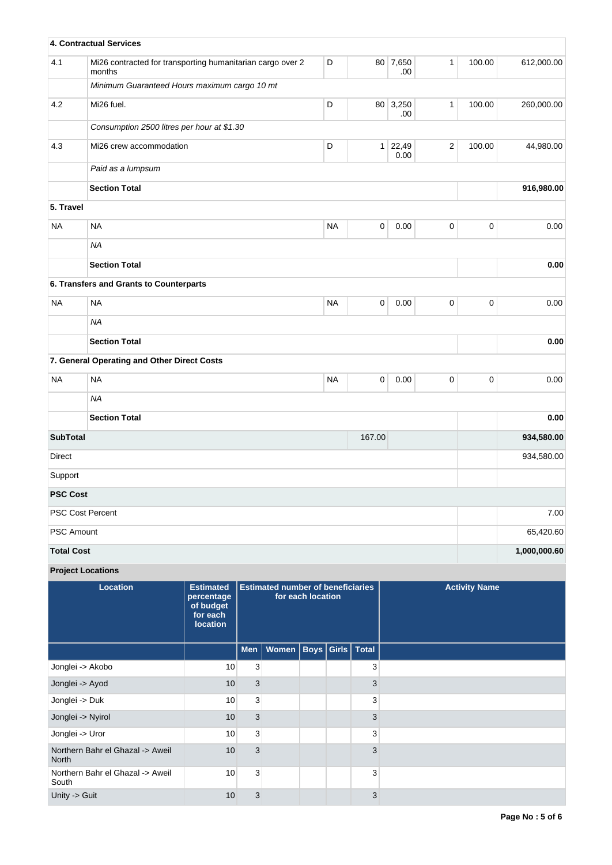|                   | 4. Contractual Services                                              |           |             |               |              |             |              |
|-------------------|----------------------------------------------------------------------|-----------|-------------|---------------|--------------|-------------|--------------|
| 4.1               | Mi26 contracted for transporting humanitarian cargo over 2<br>months | D         | 80          | 7,650<br>.00  | $\mathbf{1}$ | 100.00      | 612,000.00   |
|                   | Minimum Guaranteed Hours maximum cargo 10 mt                         |           |             |               |              |             |              |
| 4.2               | Mi26 fuel.                                                           | D         | 80          | 3,250<br>.00  | $\mathbf{1}$ | 100.00      | 260,000.00   |
|                   | Consumption 2500 litres per hour at \$1.30                           |           |             |               |              |             |              |
| 4.3               | Mi26 crew accommodation                                              | D         | 1           | 22,49<br>0.00 | $\sqrt{2}$   | 100.00      | 44,980.00    |
|                   | Paid as a lumpsum                                                    |           |             |               |              |             |              |
|                   | <b>Section Total</b>                                                 |           |             |               |              |             | 916,980.00   |
| 5. Travel         |                                                                      |           |             |               |              |             |              |
| <b>NA</b>         | <b>NA</b>                                                            | <b>NA</b> | $\mathsf 0$ | 0.00          | $\mathsf 0$  | $\pmb{0}$   | 0.00         |
|                   | <b>NA</b>                                                            |           |             |               |              |             |              |
|                   | <b>Section Total</b>                                                 |           |             |               |              |             | 0.00         |
|                   | 6. Transfers and Grants to Counterparts                              |           |             |               |              |             |              |
| <b>NA</b>         | <b>NA</b>                                                            | <b>NA</b> | $\mathbf 0$ | 0.00          | $\mathbf 0$  | $\pmb{0}$   | 0.00         |
|                   | <b>NA</b>                                                            |           |             |               |              |             |              |
|                   | <b>Section Total</b>                                                 |           |             |               |              |             | 0.00         |
|                   | 7. General Operating and Other Direct Costs                          |           |             |               |              |             |              |
| <b>NA</b>         | <b>NA</b>                                                            | <b>NA</b> | $\mathsf 0$ | 0.00          | $\mathbf{0}$ | $\mathbf 0$ | 0.00         |
|                   | <b>NA</b>                                                            |           |             |               |              |             |              |
|                   | <b>Section Total</b>                                                 |           |             |               |              |             | 0.00         |
| <b>SubTotal</b>   |                                                                      |           | 167.00      |               |              |             | 934,580.00   |
| Direct            |                                                                      |           |             |               |              |             | 934,580.00   |
| Support           |                                                                      |           |             |               |              |             |              |
| <b>PSC Cost</b>   |                                                                      |           |             |               |              |             |              |
|                   | PSC Cost Percent                                                     |           |             |               |              |             | 7.00         |
| <b>PSC Amount</b> |                                                                      |           |             |               |              |             | 65,420.60    |
| <b>Total Cost</b> |                                                                      |           |             |               |              |             | 1,000,000.60 |

# **Project Locations**

| <b>Location</b>                                  | <b>Estimated</b><br>percentage<br>of budget<br>for each<br>location | for each location |                              | <b>Estimated number of beneficiaries</b> |  |   | <b>Activity Name</b> |
|--------------------------------------------------|---------------------------------------------------------------------|-------------------|------------------------------|------------------------------------------|--|---|----------------------|
|                                                  |                                                                     | Men $ $           | Women   Boys   Girls   Total |                                          |  |   |                      |
| Jonglei -> Akobo                                 | 10                                                                  | 3                 |                              |                                          |  | 3 |                      |
| Jonglei -> Ayod                                  | 10                                                                  | 3                 |                              |                                          |  | 3 |                      |
| Jonglei -> Duk                                   | 10                                                                  | 3                 |                              |                                          |  | 3 |                      |
| Jonglei -> Nyirol                                | 10                                                                  | 3                 |                              |                                          |  | 3 |                      |
| Jonglei -> Uror                                  | 10                                                                  | 3                 |                              |                                          |  | 3 |                      |
| Northern Bahr el Ghazal -> Aweil<br><b>North</b> | 10                                                                  | 3                 |                              |                                          |  | 3 |                      |
| Northern Bahr el Ghazal -> Aweil<br>South        | 10                                                                  | 3                 |                              |                                          |  | 3 |                      |
| Unity -> Guit                                    | 10                                                                  | 3                 |                              |                                          |  | 3 |                      |